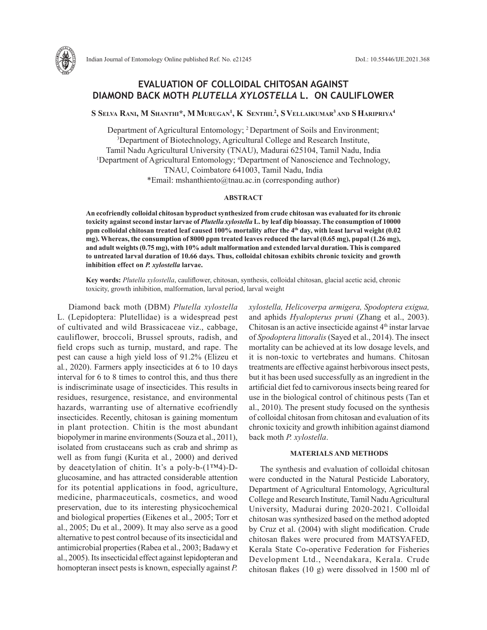

# **EVALUATION OF COLLOIDAL CHITOSAN AGAINST DIAMOND BACK MOTH** *PLUTELLA XYLOSTELLA* **L. ON CAULIFLOWER**

 ${\bf S}$  Selva Rani, M Shanthi\*, M Murugan<sup>1</sup>, K Senthil<sup>2</sup>, S Vellaikumar<sup>3</sup> and S Haripriya<sup>4</sup>

Department of Agricultural Entomology; <sup>2</sup> Department of Soils and Environment; Department of Biotechnology, Agricultural College and Research Institute, Tamil Nadu Agricultural University (TNAU), Madurai 625104, Tamil Nadu, India <sup>1</sup>Department of Agricultural Entomology; <sup>4</sup>Department of Nanoscience and Technology, TNAU, Coimbatore 641003, Tamil Nadu, India \*Email: mshanthiento@tnau.ac.in (corresponding author)

## **ABSTRACT**

**An ecofriendly colloidal chitosan byproduct synthesized from crude chitosan was evaluated for its chronic toxicity against second instar larvae of** *Plutella xylostella* **L. by leaf dip bioassay. The consumption of 10000 ppm colloidal chitosan treated leaf caused 100% mortality after the 4th day, with least larval weight (0.02 mg). Whereas, the consumption of 8000 ppm treated leaves reduced the larval (0.65 mg), pupal (1.26 mg), and adult weights (0.75 mg), with 10% adult malformation and extended larval duration. This is compared to untreated larval duration of 10.66 days. Thus, colloidal chitosan exhibits chronic toxicity and growth inhibition effect on** *P. xylostella* **larvae.** 

**Key words:** *Plutella xylostella*, cauliflower, chitosan, synthesis, colloidal chitosan, glacial acetic acid, chronic toxicity, growth inhibition, malformation, larval period, larval weight

Diamond back moth (DBM) *Plutella xylostella*  L. (Lepidoptera: Plutellidae) is a widespread pest of cultivated and wild Brassicaceae viz., cabbage, cauliflower, broccoli, Brussel sprouts, radish, and field crops such as turnip, mustard, and rape. The pest can cause a high yield loss of 91.2% (Elizeu et al*.*, 2020). Farmers apply insecticides at 6 to 10 days interval for 6 to 8 times to control this, and thus there is indiscriminate usage of insecticides. This results in residues, resurgence, resistance, and environmental hazards, warranting use of alternative ecofriendly insecticides. Recently, chitosan is gaining momentum in plant protection. Chitin is the most abundant biopolymer in marine environments (Souza et al., 2011), isolated from crustaceans such as crab and shrimp as well as from fungi (Kurita et al*.*, 2000) and derived by deacetylation of chitin. It's a poly-b-(1™4)-Dglucosamine, and has attracted considerable attention for its potential applications in food, agriculture, medicine, pharmaceuticals, cosmetics, and wood preservation, due to its interesting physicochemical and biological properties (Eikenes et al., 2005; Torr et al., 2005; Du et al., 2009). It may also serve as a good alternative to pest control because of its insecticidal and antimicrobial properties (Rabea et al., 2003; Badawy et al., 2005). Its insecticidal effect against lepidopteran and homopteran insect pests is known, especially against *P.* 

*xylostella, Helicoverpa armigera, Spodoptera exigua,*  and aphids *Hyalopterus pruni* (Zhang et al., 2003). Chitosan is an active insecticide against  $4<sup>th</sup>$  instar larvae of *Spodoptera littoralis* (Sayed et al., 2014). The insect mortality can be achieved at its low dosage levels, and it is non-toxic to vertebrates and humans. Chitosan treatments are effective against herbivorous insect pests, but it has been used successfully as an ingredient in the artificial diet fed to carnivorous insects being reared for use in the biological control of chitinous pests (Tan et al., 2010). The present study focused on the synthesis of colloidal chitosan from chitosan and evaluation of its chronic toxicity and growth inhibition against diamond back moth *P. xylostella*.

#### **MATERIALS AND METHODS**

The synthesis and evaluation of colloidal chitosan were conducted in the Natural Pesticide Laboratory, Department of Agricultural Entomology, Agricultural College and Research Institute, Tamil Nadu Agricultural University, Madurai during 2020-2021. Colloidal chitosan was synthesized based on the method adopted by Cruz et al. (2004) with slight modification. Crude chitosan flakes were procured from MATSYAFED, Kerala State Co-operative Federation for Fisheries Development Ltd., Neendakara, Kerala. Crude chitosan flakes (10 g) were dissolved in 1500 ml of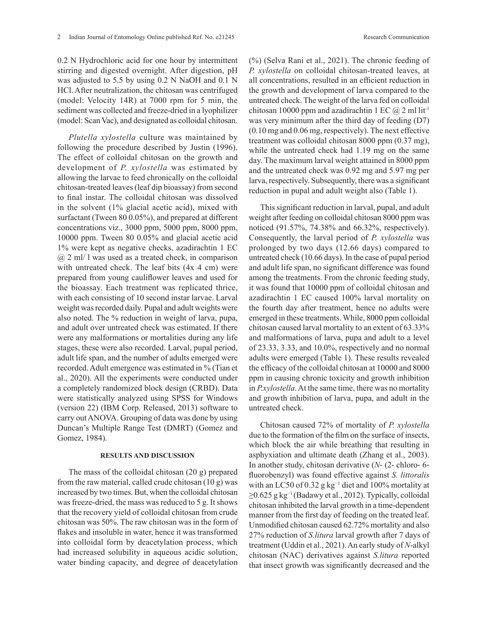0.2 N Hydrochloric acid for one hour by intermittent stirring and digested overnight. After digestion, pH was adjusted to 5.5 by using 0.2 N NaOH and 0.1 N HCl. After neutralization, the chitosan was centrifuged (model: Velocity 14R) at 7000 rpm for 5 min, the sediment was collected and freeze-dried in a lyophilizer (model: Scan Vac), and designated as colloidal chitosan.

*Plutella xylostella* culture was maintained by following the procedure described by Justin (1996). The effect of colloidal chitosan on the growth and development of *P. xylostella* was estimated by allowing the larvae to feed chronically on the colloidal chitosan-treated leaves (leaf dip bioassay) from second to final instar. The colloidal chitosan was dissolved in the solvent (1% glacial acetic acid), mixed with surfactant (Tween 80 0.05%), and prepared at different concentrations viz., 3000 ppm, 5000 ppm, 8000 ppm, 10000 ppm. Tween 80 0.05% and glacial acetic acid 1% were kept as negative checks, azadirachtin 1 EC  $(a)$  2 ml/ l was used as a treated check, in comparison with untreated check. The leaf bits (4x 4 cm) were prepared from young cauliflower leaves and used for the bioassay. Each treatment was replicated thrice, with each consisting of 10 second instar larvae. Larval weight was recorded daily. Pupal and adult weights were also noted. The % reduction in weight of larva, pupa, and adult over untreated check was estimated. If there were any malformations or mortalities during any life stages, these were also recorded. Larval, pupal period, adult life span, and the number of adults emerged were recorded. Adult emergence was estimated in % (Tian et al., 2020). All the experiments were conducted under a completely randomized block design (CRBD). Data were statistically analyzed using SPSS for Windows (version 22) (IBM Corp. Released, 2013) software to carry out ANOVA. Grouping of data was done by using Duncan's Multiple Range Test (DMRT) (Gomez and Gomez, 1984).

### **RESULTS AND DISCUSSION**

The mass of the colloidal chitosan (20 g) prepared from the raw material, called crude chitosan (10 g) was increased by two times. But, when the colloidal chitosan was freeze-dried, the mass was reduced to 5 g. It shows that the recovery yield of colloidal chitosan from crude chitosan was 50%. The raw chitosan was in the form of flakes and insoluble in water, hence it was transformed into colloidal form by deacetylation process, which had increased solubility in aqueous acidic solution, water binding capacity, and degree of deacetylation (%) (Selva Rani et al., 2021). The chronic feeding of *P. xylostella* on colloidal chitosan-treated leaves, at all concentrations, resulted in an efficient reduction in the growth and development of larva compared to the untreated check. The weight of the larva fed on colloidal chitosan 10000 ppm and azadirachtin 1 EC  $\omega$  2 ml lit<sup>-1</sup> was very minimum after the third day of feeding (D7) (0.10 mg and 0.06 mg, respectively). The next effective treatment was colloidal chitosan 8000 ppm (0.37 mg), while the untreated check had 1.19 mg on the same day. The maximum larval weight attained in 8000 ppm and the untreated check was 0.92 mg and 5.97 mg per larva, respectively. Subsequently, there was a significant reduction in pupal and adult weight also (Table 1).

This significant reduction in larval, pupal, and adult weight after feeding on colloidal chitosan 8000 ppm was noticed (91.57%, 74.38% and 66.32%, respectively). Consequently, the larval period of *P. xylostella* was prolonged by two days (12.66 days) compared to untreated check (10.66 days). In the case of pupal period and adult life span, no significant difference was found among the treatments. From the chronic feeding study, it was found that 10000 ppm of colloidal chitosan and azadirachtin 1 EC caused 100% larval mortality on the fourth day after treatment, hence no adults were emerged in these treatments. While, 8000 ppm colloidal chitosan caused larval mortality to an extent of 63.33% and malformations of larva, pupa and adult to a level of 23.33, 3.33, and 10.0%, respectively and no normal adults were emerged (Table 1). These results revealed the efficacy of the colloidal chitosan at 10000 and 8000 ppm in causing chronic toxicity and growth inhibition in *P.xylostella*. At the same time, there was no mortality and growth inhibition of larva, pupa, and adult in the untreated check.

Chitosan caused 72% of mortality of *P. xylostella*  due to the formation of the film on the surface of insects, which block the air while breathing that resulting in asphyxiation and ultimate death (Zhang et al., 2003). In another study, chitosan derivative (*N*‐ (2‐ chloro‐ 6‐ fluorobenzyl) was found effective against *S. littoralis* with an LC50 of 0.32 g kg<sup>-1</sup> diet and 100% mortality at ≥0.625 g kg−1 (Badawy et al., 2012). Typically, colloidal chitosan inhibited the larval growth in a time-dependent manner from the first day of feeding on the treated leaf. Unmodified chitosan caused 62.72% mortality and also 27% reduction of *S.litura* larval growth after 7 days of treatment (Uddin et al., 2021). An early study of *N*-alkyl chitosan (NAC) derivatives against *S.litura* reported that insect growth was significantly decreased and the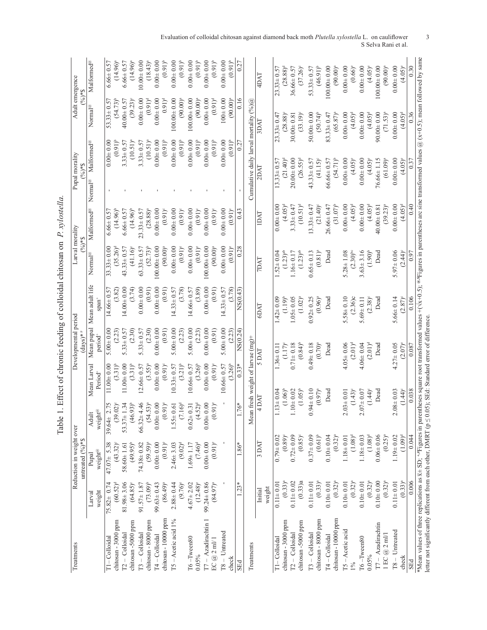| Treatments                                                                                                                                                                                                                                                                                                                             |                                 | Reduction in weight over<br>untreated $(%^{\circ})$ *\$ |                                 |                                    | Developmental period<br>$(\text{days})^{**}$ |                                                 | Larval morality<br>$S^*(0_0)$   |                                  | Pupal morality<br>$S^*(\%)$ |                               | Adult emergence                            | $(S*({}^{0}\%)$                  |
|----------------------------------------------------------------------------------------------------------------------------------------------------------------------------------------------------------------------------------------------------------------------------------------------------------------------------------------|---------------------------------|---------------------------------------------------------|---------------------------------|------------------------------------|----------------------------------------------|-------------------------------------------------|---------------------------------|----------------------------------|-----------------------------|-------------------------------|--------------------------------------------|----------------------------------|
|                                                                                                                                                                                                                                                                                                                                        | weight<br>Larval                | weight@<br>Pupal                                        | weight@<br>Adult                | Mean Larval<br>Period <sup>+</sup> | period <sup>:</sup>                          | Mean pupal Mean adult life<br>span <sup>-</sup> | Normal <sup>@</sup>             | Malformed <sup>@</sup>           | Normal <sup>@</sup>         | Malformed <sup>@</sup>        | Normal <sup>@</sup>                        | Malformed <sup>@</sup>           |
| chitosan - 3000 ppm<br>T1-Colloidal                                                                                                                                                                                                                                                                                                    | $75.82 \pm 0.74$<br>$(60.52)^d$ | $(43.32)^{\circ}$<br>$47.07 \pm 5.38$                   | 2.75<br>$(39.02)^{6}$<br>39.64± | $(3.31)^{b}$<br>$11.00 \pm 0.00$   | $5.00 \pm 0.00$<br>(2.23)                    | $14.66 \pm 0.57$<br>(3.82)                      | $(35.26)^d$<br>$33.33 \pm 0.00$ | $(14.96)^{b}$<br>$6.66 \pm 0.57$ |                             | $(0.91)^{b}$<br>$0.00 + 0.00$ | $(54.73)^{b}$<br>$53.33 \pm 0.57$          | $(14.96)^{a}$<br>$6.66 \pm 0.57$ |
| T2-Colloidal                                                                                                                                                                                                                                                                                                                           | $81.98 \pm 3.06$                | 58.60±1.61                                              | $53.37 \pm 1.34$                | $1.00 \pm 0.00$                    | $5.33 \pm 0.57$                              | $14.00 \pm 0.00$                                | $43.33 \pm 0.57$                | $6.66 \pm 0.57$                  |                             | $3.33 \pm 0.57$               | $40.00 \pm 0.57$                           | $6.66 \pm 0.57$                  |
| chitosan -5000 ppm                                                                                                                                                                                                                                                                                                                     | $(64.85)^{\circ}$               | $(49.95)^{b}$                                           | $(46.93)^{b}$                   | $(3.31)^{b}$                       | (2.30)                                       | (3.74)                                          | $(41.16)$ <sup>c</sup>          | $(14.96)^{b}$                    |                             | $(10.51)^{a}$                 | $(39.23)^{\circ}$                          | $(14.96)^{a}$                    |
| T3-Colloidal                                                                                                                                                                                                                                                                                                                           | $91.57 \pm 1.87$                | $74.38 \pm 0.82$                                        | $66.32 \pm 4.46$                | $12.66 \pm 0.57$                   | $5.33 \pm 0.57$                              | $0.00 + 0.00$                                   | $63.33 \pm 0.57$                | $23.33 \pm 0.57$                 |                             | $3.33 \pm 0.57$               | $0.00 + 0.00$                              | $10.00 + 0.00$                   |
| chitosan - 8000 ppm                                                                                                                                                                                                                                                                                                                    | $(73.09)^{b}$                   | $(59.59)^a$                                             | $(54.53)^{a}$                   | $(3.55)^{a}$                       | (2.30)                                       | (0.91)                                          | $(52.73)^{b}$                   | $(28.88)^a$                      |                             | $(10.51)^{a}$                 | $(0.91)^d$                                 | $(18.43)^{a}$                    |
| T4-Colloidal                                                                                                                                                                                                                                                                                                                           | $99.63 \pm 0.43$                | $0.00\pm0.00$                                           | $0.00 + 0.00$                   | $0.00 + 0.00$                      | $0.00 + 0.00$                                | $0.00 + 0.00$                                   | $100.00 + 0.00$                 | $0.00 + 0.00$                    |                             | $0.00 + 0.00$                 | $0.00 + 0.00$                              | $0.00 + 0.00$                    |
| chitosan - 10000 ppm                                                                                                                                                                                                                                                                                                                   | $(86.49)^{a}$                   | $(0.91)^e$                                              | $(0.91)^e$                      | $(0.91)$ <sup>c</sup>              | (0.91)                                       | (0.91)                                          | $(90.00)^a$                     | $(0.91)^{\circ}$                 |                             | $(0.91)^{b}$                  | $0.91)$ <sup>d</sup>                       | $(0.91)^{b}$                     |
| IS-Acetic acid 1%                                                                                                                                                                                                                                                                                                                      | $2.88 \pm 0.44$                 | $2.46 \pm 3.03$                                         | $1.55 \pm 0.61$                 | $10.33 \pm 0.57$                   | $5.00 + 0.00$                                | $14.33 \pm 0.57$                                | $0.00 + 0.00$                   | $0.00 + 0.00$                    |                             | $0.00 + 0.00$                 | $100.00 + 0.00$                            | $0.00 + 0.00$                    |
|                                                                                                                                                                                                                                                                                                                                        | $(9.76)^e$                      | $(9.02)^d$                                              | $(7.16)^d$                      | $(3.21)^{b}$                       | (2.23)                                       | (3.78)                                          | $(0.91)^e$                      | $(0.91)^c$                       |                             | $(0.91)^{b}$                  | $(90.00)^8$                                | $(0.91)^{b}$                     |
| T6-Tween80                                                                                                                                                                                                                                                                                                                             | $4.67 \pm 2.02$                 | $1.69 \pm 1.17$                                         | $0.62 \pm 0.31$                 | $10.66 \pm 0.57$                   | $5.00 \pm 0.00$                              | $14.66 \pm 0.57$                                | $0.00 + 0.00$                   | $0.00 + 0.00$                    |                             | $0.00 + 0.00$                 | $100.00 + 0.00$                            | $0.00 + 0.00$                    |
| 0.05%                                                                                                                                                                                                                                                                                                                                  | $(12.48)^e$                     | $(7.46)$ <sup>d</sup>                                   | $(4.52)^d$                      | $(3.26)^{b}$                       | (2.23)                                       | (3.89)                                          | $(0.91)^e$                      | $(0.91)^c$                       |                             | $(0.91)^{b}$                  | $(90.00)^a$                                | $(0.91)^{b}$                     |
| T7 - Azadirachtin 1                                                                                                                                                                                                                                                                                                                    | $99.24 \pm 0.86$                | $0.00 + 0.00$                                           | $0.00 + 0.00$                   | $0.00 + 0.00$                      | $0.00 + 0.00$                                | $0.00 + 0.00$                                   | $100.00 + 0.00$                 | $0.00 + 0.00$                    |                             | $0.00 + 0.00$                 | $0.00 + 0.00$                              | $0.00 + 0.00$                    |
| EC $@2$ ml/1                                                                                                                                                                                                                                                                                                                           | $(84.97)^{a}$                   | $(0.91)^e$                                              | $(0.91)^e$                      | $(0.91)$ <sup>c</sup>              | (0.91)                                       | (0.91)                                          | $(90.00)^a$                     | $(0.91)^{c}$                     |                             | $(0.91)^{b}$                  | $(0.91)^d$                                 | $(0.91)^{b}$                     |
| $TS - Unreated$                                                                                                                                                                                                                                                                                                                        |                                 |                                                         |                                 | $10.66 \pm 0.57$                   | $5.00 + 0.00$                                | $14.33 \pm 0.57$                                | $0.00 + 0.00$                   | $0.00 + 0.00$                    |                             | $0.00 + 0.00$                 | $100\pm0.00$                               | $0.00 + 0.00$                    |
| check                                                                                                                                                                                                                                                                                                                                  |                                 |                                                         |                                 | $(3.26)^{b}$                       | (2.23)                                       | (3.78)                                          | $(0.91)^{8}$                    | $(0.91)^c$                       |                             | $(0.91)^{b}$                  | $(90.00)^a$                                | $(0.91)^{b}$                     |
| SEd                                                                                                                                                                                                                                                                                                                                    | $1.23*$                         | $1.86*$                                                 | 76*                             | $0.33*$                            | NS(0.24)                                     | NS(0.43)                                        | 0.28                            | 0.43                             |                             | 0.27                          | 0.16                                       | 0.27                             |
| Treatments                                                                                                                                                                                                                                                                                                                             |                                 |                                                         |                                 | Mean fresh weight of larvae (mg)+  |                                              |                                                 |                                 |                                  |                             |                               | Cumulative daily larval mortality $(%)(a)$ |                                  |
|                                                                                                                                                                                                                                                                                                                                        | Initial                         | 3 DAT                                                   | 4DAT                            |                                    | 5 DAT                                        | <b>GDAT</b>                                     | TACT                            | <b>IDAT</b>                      | 2DAT                        |                               | 3DAT                                       | 4DAT                             |
|                                                                                                                                                                                                                                                                                                                                        | weight                          |                                                         |                                 |                                    |                                              |                                                 |                                 |                                  |                             |                               |                                            |                                  |
| T1-Colloidal                                                                                                                                                                                                                                                                                                                           | $0.11 \pm 0.01$                 | $0.79 + 0.02$                                           | $.13 \pm 0.04$                  |                                    | $1.36 \pm 0.11$                              | $1.42 \pm 0.09$                                 | $1.52 \pm 0.04$                 | $0.00 + 0.00$                    | $13.33 \pm 0.57$            |                               | $23.33 \pm 0.47$                           | $23.33 \pm 0.57$                 |
| chitosan - 3000 ppm                                                                                                                                                                                                                                                                                                                    | $(0.33)^{a}$                    | $(0.89)^c$                                              |                                 | $(1.06)^{b}$                       | $(1.17)^{c}$                                 | $(1.19)^{b}$                                    | $(1.23)$ <sup>ab</sup>          | $(4.05)^d$                       |                             | $(21.40)^d$                   | $(28.88)$ <sup>c</sup>                     | $(28.88)^d$                      |
| I2-Colloidal                                                                                                                                                                                                                                                                                                                           | $0.11 \pm 0.02$                 | $0.72 \pm 0.09$                                         | $1.10 \pm 0.02$                 |                                    | $0.71 \pm 0.18$                              | $1.05 \pm 0.05$                                 | $1.16 \pm 0.17$                 | $3.33 \pm 0.47$                  | $20.00 + 0.00$              |                               | $30.00 \pm 0.81$                           | $36.66 \pm 0.57$                 |
| chitosan-5000 ppm                                                                                                                                                                                                                                                                                                                      | (0.33)a                         | $(0.85)^{\circ}$                                        |                                 | $(1.05)^{b}$                       | $(0.84)$ <sup>b</sup>                        | $(1.02)^{a}$                                    | $(1.23)$ <sup>ab</sup>          | $(10.51)^d$                      |                             | $(26.55)^d$                   | $(33.19)^6$                                | $(37.26)^{\circ}$                |
| T3-Colloidal                                                                                                                                                                                                                                                                                                                           | $0.11 \pm 0.01$                 | $0.37 \pm 0.09$                                         | $94 \pm 0.10$                   |                                    | $0.49 \pm 0.18$                              | $0.92 \pm 0.25$                                 | $0.65 \pm 0.13$                 | $13.33 \pm 0.47$                 | $43.33 \pm 0.57$            |                               | $50.00 + 0.00$                             | $53.33 \pm 0.57$                 |
| chitosan - 8000 ppm                                                                                                                                                                                                                                                                                                                    | $(0.33)^a$                      | $(0.61)$ <sup>b</sup>                                   |                                 | $(0.97)^{a}$                       | $(0.70)$ <sup>a</sup>                        | $(0.96)^{a}$                                    | $(0.81)^{a}$                    | $(21.40)^{\circ}$                |                             | $(41.15)^{o}$                 | $(50.74)$ <sup>b</sup>                     | $(46.91)^{b}$                    |
| T4-Colloidal                                                                                                                                                                                                                                                                                                                           | $0.10 + 0.01$                   | $0.10 + 0.04$                                           |                                 | Dead                               | Dead                                         | Dead                                            | Dead                            | $26.66 \pm 0.47$                 | $66.66 \pm 0.57$            |                               | $83.33 \pm 0.47$                           | $100.00 + 0.00$                  |
| chitosan - 10000 ppm                                                                                                                                                                                                                                                                                                                   | $(0.32)^{a}$                    | $(0.32)^{a}$                                            |                                 |                                    |                                              |                                                 |                                 | $(31.07)^{b}$                    |                             | $(54.71)^{b}$                 | $(65.87)^{a}$                              | $(90.00)^a$                      |
| T5 - Acetic acid                                                                                                                                                                                                                                                                                                                       | $0.10 + 0.01$                   | $1.18 + 0.01$                                           | $2.03 \pm 0.01$                 |                                    | $4.05 \pm 0.06$                              | $5.58 \pm 0.10$                                 | $5.28 \pm 1.08$                 | $0.00 + 0.00$                    | $0.00 + 0.00$               |                               | $0.00 + 0.00$                              | $0.00 + 0.00$                    |
| $1\%$                                                                                                                                                                                                                                                                                                                                  | $(0.32)^{a}$                    | (1.08) <sup>d</sup>                                     |                                 | $(1.43)^{\circ}$                   | $(2.01)^d$                                   | (2.36)c                                         | $(2.30)$ <sup>bc</sup>          | $(4.05)^d$                       |                             | $(4.05)$ <sup>e</sup>         | $(4.05)^d$                                 | $(0.66)^{\circ}$                 |
| T6-Tween80                                                                                                                                                                                                                                                                                                                             | $0.10 + 0.01$                   | $1.18 + 0.03$                                           | $07 \pm 0.07$<br>$\sim$         |                                    | $4.06 \pm 0.04$                              | $5.69 \pm 0.11$                                 | $3.63 \pm 3.16$                 | $0.00 + 0.00$                    | $0.00 + 0.00$               |                               | $0.00 + 0.00$                              | $0.00 + 0.00$                    |
| $0.05\%$                                                                                                                                                                                                                                                                                                                               | $(0.32)^{a}$                    | $(1.08)^d$                                              |                                 | $(1.44)^{c}$                       | $(2.01)^d$                                   | $(2.38)^c$                                      | $(1.90)^{b}$                    | $(4.05)^d$                       |                             | $(4.05)$ <sup>e</sup>         | $(4.05)^d$                                 | $(4.05)^{e}$                     |
| $T7 - Azadirachtin$                                                                                                                                                                                                                                                                                                                    | $0.10 + 0.00$                   | $0.06 \pm 0.06$                                         |                                 | Dead                               | Dead                                         | Dead                                            | Dead                            | $40.00 \pm 0.81$                 | $76.66 \pm 1.15$            |                               | $0.00 + 0.00$                              | $100.00 + 0.00$                  |
| 1 EC $@2$ ml/l                                                                                                                                                                                                                                                                                                                         | $(0.32)^{a}$                    | $(0.25)^{a}$                                            |                                 |                                    |                                              |                                                 |                                 | $(39.23)^a$                      |                             | $(61.09)^{a}$                 | $(71.53)^{a}$                              | $(90.00)^a$                      |
| T8 - Untreated                                                                                                                                                                                                                                                                                                                         | $0.11 \pm 0.01$                 | $1.19 + 0.02$                                           | $.08 \pm 0.03$<br>$\sim$        |                                    | $4.27 \pm 0.05$                              | $5.66 \pm 0.14$                                 | $5.97 \pm 0.06$                 | $0.00 + 0.00$                    | $0.00 + 0.00$               |                               | $0.00 + 0.00$                              | $0.00 + 0.00$                    |
| check                                                                                                                                                                                                                                                                                                                                  | $(0.33)^{a}$                    | $(1.09)^d$                                              |                                 | $(1.44)^{c}$                       | $(2.07)^{e}$                                 | $(2.87)^{\circ}$                                | $(2.44)^{c}$                    | $(4.05)^d$                       |                             | $(4.05)^{e}$                  | $(4.05)^d$                                 | $(4.05)^{e}$                     |
| SEd                                                                                                                                                                                                                                                                                                                                    | 0.006                           | 0.044                                                   |                                 | 0.038                              | 0.087                                        | 0.106                                           | 0.97                            | 0.40                             |                             | 0.37                          | 0.36                                       | 0.30                             |
| *Mean values of three replications as $\overline{x} \pm 5D$ , **Figures in parentheses square root transformed values +(Vx+0.5); @-Figures in parentheses arc sine transformed values @ (x+0.5); mean followed by same<br>letter not significantly different from each other, DMRT ( $p \le 0.05$ ); SEd: Standard error of difference |                                 |                                                         |                                 |                                    |                                              |                                                 |                                 |                                  |                             |                               |                                            |                                  |
|                                                                                                                                                                                                                                                                                                                                        |                                 |                                                         |                                 |                                    |                                              |                                                 |                                 |                                  |                             |                               |                                            |                                  |

Table 1. Effect of chronic feeding of colloidal chitosan on P. xylostella. Table 1. Effect of chronic feeding of colloidal chitosan on *P. xylostella.*